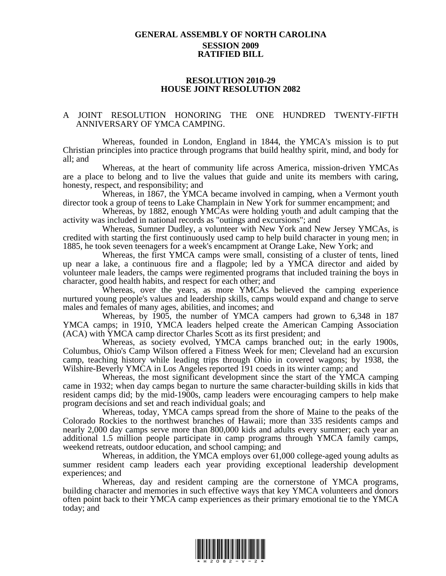## **GENERAL ASSEMBLY OF NORTH CAROLINA SESSION 2009 RATIFIED BILL**

## **RESOLUTION 2010-29 HOUSE JOINT RESOLUTION 2082**

## A JOINT RESOLUTION HONORING THE ONE HUNDRED TWENTY-FIFTH ANNIVERSARY OF YMCA CAMPING.

Whereas, founded in London, England in 1844, the YMCA's mission is to put Christian principles into practice through programs that build healthy spirit, mind, and body for all; and

Whereas, at the heart of community life across America, mission-driven YMCAs are a place to belong and to live the values that guide and unite its members with caring, honesty, respect, and responsibility; and

Whereas, in 1867, the YMCA became involved in camping, when a Vermont youth director took a group of teens to Lake Champlain in New York for summer encampment; and

Whereas, by 1882, enough YMCAs were holding youth and adult camping that the activity was included in national records as "outings and excursions"; and

Whereas, Sumner Dudley, a volunteer with New York and New Jersey YMCAs, is credited with starting the first continuously used camp to help build character in young men; in 1885, he took seven teenagers for a week's encampment at Orange Lake, New York; and

Whereas, the first YMCA camps were small, consisting of a cluster of tents, lined up near a lake, a continuous fire and a flagpole; led by a YMCA director and aided by volunteer male leaders, the camps were regimented programs that included training the boys in character, good health habits, and respect for each other; and

Whereas, over the years, as more YMCAs believed the camping experience nurtured young people's values and leadership skills, camps would expand and change to serve males and females of many ages, abilities, and incomes; and

Whereas, by 1905, the number of YMCA campers had grown to 6,348 in 187 YMCA camps; in 1910, YMCA leaders helped create the American Camping Association (ACA) with YMCA camp director Charles Scott as its first president; and

Whereas, as society evolved, YMCA camps branched out; in the early 1900s, Columbus, Ohio's Camp Wilson offered a Fitness Week for men; Cleveland had an excursion camp, teaching history while leading trips through Ohio in covered wagons; by 1938, the Wilshire-Beverly YMCA in Los Angeles reported 191 coeds in its winter camp; and

Whereas, the most significant development since the start of the YMCA camping came in 1932; when day camps began to nurture the same character-building skills in kids that resident camps did; by the mid-1900s, camp leaders were encouraging campers to help make program decisions and set and reach individual goals; and

Whereas, today, YMCA camps spread from the shore of Maine to the peaks of the Colorado Rockies to the northwest branches of Hawaii; more than 335 residents camps and nearly 2,000 day camps serve more than 800,000 kids and adults every summer; each year an additional 1.5 million people participate in camp programs through YMCA family camps, weekend retreats, outdoor education, and school camping; and

Whereas, in addition, the YMCA employs over 61,000 college-aged young adults as summer resident camp leaders each year providing exceptional leadership development experiences; and

Whereas, day and resident camping are the cornerstone of YMCA programs, building character and memories in such effective ways that key YMCA volunteers and donors often point back to their YMCA camp experiences as their primary emotional tie to the YMCA today; and